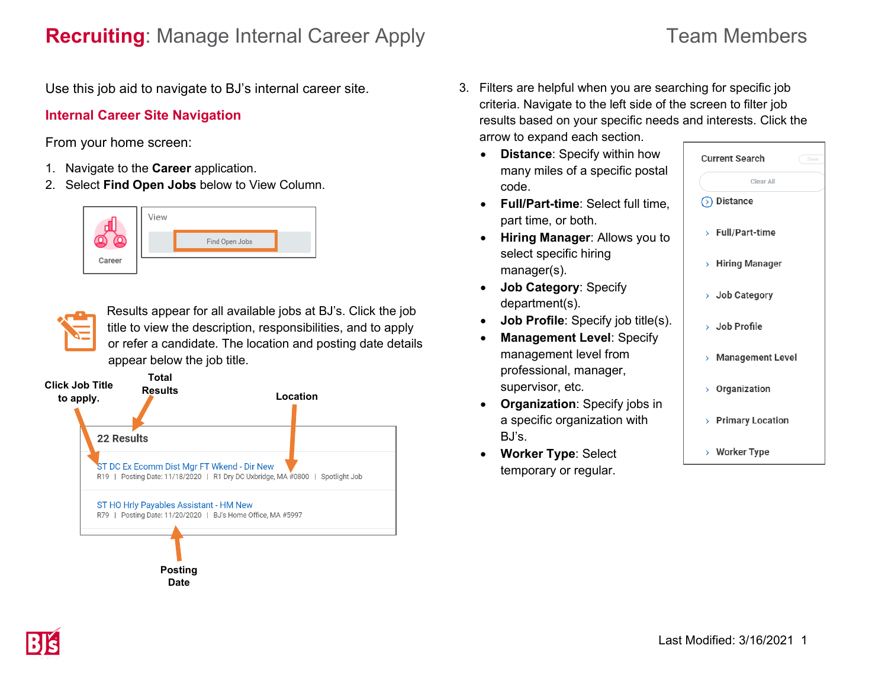## **Recruiting**: Manage Internal Career Apply Team Members

Use this job aid to navigate to BJ's internal career site.

### **Internal Career Site Navigation**

From your home screen:

- 1. Navigate to the **Career** application.
- 2. Select **Find Open Jobs** below to View Column.





Results appear for all available jobs at BJ's. Click the job title to view the description, responsibilities, and to apply or refer a candidate. The location and posting date details appear below the job title.



- 3. Filters are helpful when you are searching for specific job criteria. Navigate to the left side of the screen to filter job results based on your specific needs and interests. Click the arrow to expand each section.
	- **Distance**: Specify within how many miles of a specific postal code.
	- **Full/Part-time**: Select full time, part time, or both.
	- **Hiring Manager**: Allows you to select specific hiring manager(s).
	- **Job Category**: Specify department(s).
	- **Job Profile**: Specify job title(s).
	- **Management Level**: Specify management level from professional, manager, supervisor, etc.
	- **Organization**: Specify jobs in a specific organization with BJ's.
	- **Worker Type**: Select temporary or regular.

| <b>Current Search</b><br>Save |                    |
|-------------------------------|--------------------|
|                               | Clear All          |
|                               | ◯ Distance         |
|                               | > Full/Part-time   |
|                               | > Hiring Manager   |
|                               | > Job Category     |
|                               | $>$ Job Profile    |
|                               | > Management Level |
|                               | > Organization     |
|                               | > Primary Location |
|                               | > Worker Type      |